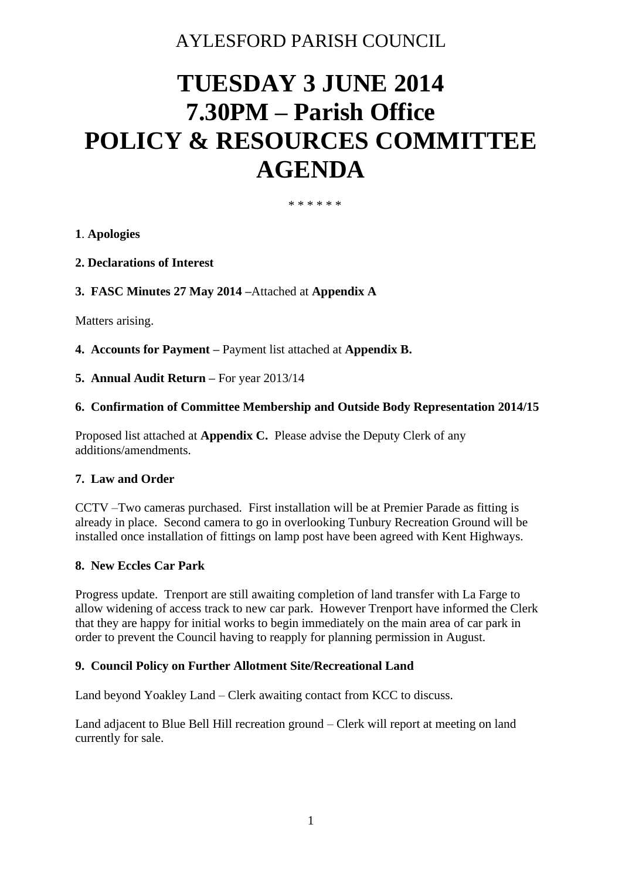# AYLESFORD PARISH COUNCIL

# **TUESDAY 3 JUNE 2014 7.30PM – Parish Office POLICY & RESOURCES COMMITTEE AGENDA**

\* \* \* \* \* \*

#### **1**. **Apologies**

#### **2. Declarations of Interest**

#### **3. FASC Minutes 27 May 2014 –**Attached at **Appendix A**

Matters arising.

**4. Accounts for Payment –** Payment list attached at **Appendix B.** 

**5. Annual Audit Return –** For year 2013/14

#### **6. Confirmation of Committee Membership and Outside Body Representation 2014/15**

Proposed list attached at **Appendix C.** Please advise the Deputy Clerk of any additions/amendments.

#### **7. Law and Order**

CCTV –Two cameras purchased. First installation will be at Premier Parade as fitting is already in place. Second camera to go in overlooking Tunbury Recreation Ground will be installed once installation of fittings on lamp post have been agreed with Kent Highways.

#### **8. New Eccles Car Park**

Progress update. Trenport are still awaiting completion of land transfer with La Farge to allow widening of access track to new car park. However Trenport have informed the Clerk that they are happy for initial works to begin immediately on the main area of car park in order to prevent the Council having to reapply for planning permission in August.

#### **9. Council Policy on Further Allotment Site/Recreational Land**

Land beyond Yoakley Land – Clerk awaiting contact from KCC to discuss.

Land adjacent to Blue Bell Hill recreation ground – Clerk will report at meeting on land currently for sale.